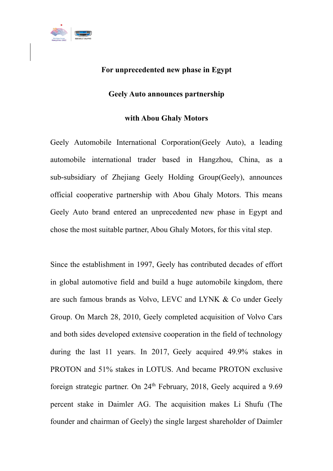

## **For unprecedented new phase in Egypt**

## **Geely Auto announces partnership**

## **with Abou Ghaly Motors**

Geely Automobile International Corporation(Geely Auto), a leading automobile international trader based in Hangzhou, China, as a sub-subsidiary of Zhejiang Geely Holding Group(Geely), announces official cooperative partnership with Abou Ghaly Motors. This means Geely Auto brand entered an unprecedented new phase in Egypt and chose the most suitable partner, Abou Ghaly Motors, for this vital step.

Since the establishment in 1997, Geely has contributed decades of effort in global automotive field and build a huge automobile kingdom, there are such famous brands as Volvo, LEVC and LYNK & Co under Geely Group. On March 28, 2010, Geely completed acquisition of Volvo Cars and both sides developed extensive cooperation in the field of technology during the last 11 years. In 2017, Geely acquired 49.9% stakes in PROTON and 51% stakes in LOTUS. And became PROTON exclusive foreign strategic partner. On 24<sup>th</sup> February, 2018, Geely acquired a 9.69 percent stake in Daimler AG. The acquisition makes Li Shufu (The founder and chairman of Geely) the single largest shareholder of Daimler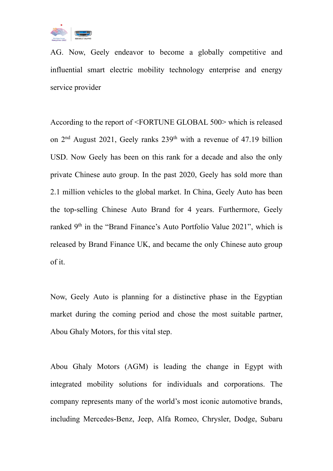

AG. Now, Geely endeavor to become a globally competitive and influential smart electric mobility technology enterprise and energy service provider

According to the report of <FORTUNE GLOBAL 500> which is released on  $2<sup>nd</sup>$  August 2021, Geely ranks  $239<sup>th</sup>$  with a revenue of 47.19 billion USD. Now Geely has been on this rank for a decade and also the only private Chinese auto group. In the past 2020, Geely has sold more than 2.1 million vehicles to the global market. In China, Geely Auto has been the top-selling Chinese Auto Brand for 4 years. Furthermore, Geely ranked 9<sup>th</sup> in the "Brand Finance's Auto Portfolio Value 2021", which is released by Brand Finance UK, and became the only Chinese auto group of it.

Now, Geely Auto is planning for a distinctive phase in the Egyptian market during the coming period and chose the most suitable partner, Abou Ghaly Motors, for this vital step.

Abou Ghaly Motors (AGM) is leading the change in Egypt with integrated mobility solutions for individuals and corporations. The company represents many of the world's most iconic automotive brands, including Mercedes-Benz, Jeep, Alfa Romeo, Chrysler, Dodge, Subaru